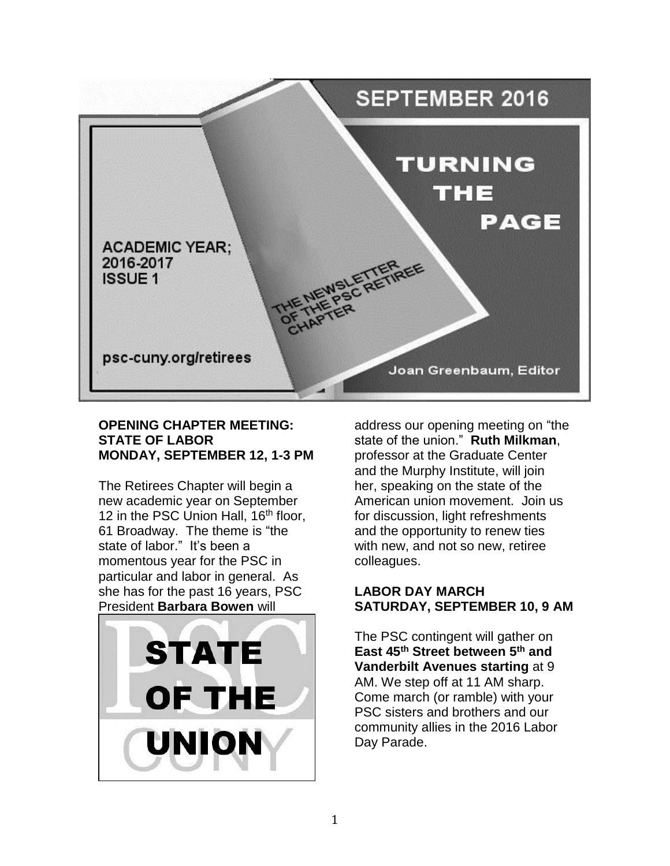

# **OPENING CHAPTER MEETING: STATE OF LABOR MONDAY, SEPTEMBER 12, 1-3 PM**

The Retirees Chapter will begin a new academic year on September 12 in the PSC Union Hall, 16<sup>th</sup> floor, 61 Broadway. The theme is "the state of labor." It's been a momentous year for the PSC in particular and labor in general. As she has for the past 16 years, PSC President **Barbara Bowen** will



address our opening meeting on "the state of the union." **Ruth Milkman**, professor at the Graduate Center and the Murphy Institute, will join her, speaking on the state of the American union movement. Join us for discussion, light refreshments and the opportunity to renew ties with new, and not so new, retiree colleagues.

# **LABOR DAY MARCH SATURDAY, SEPTEMBER 10, 9 AM**

The PSC contingent will gather on **East 45th Street between 5th and Vanderbilt Avenues starting** at 9 AM. We step off at 11 AM sharp. Come march (or ramble) with your PSC sisters and brothers and our community allies in the 2016 Labor Day Parade.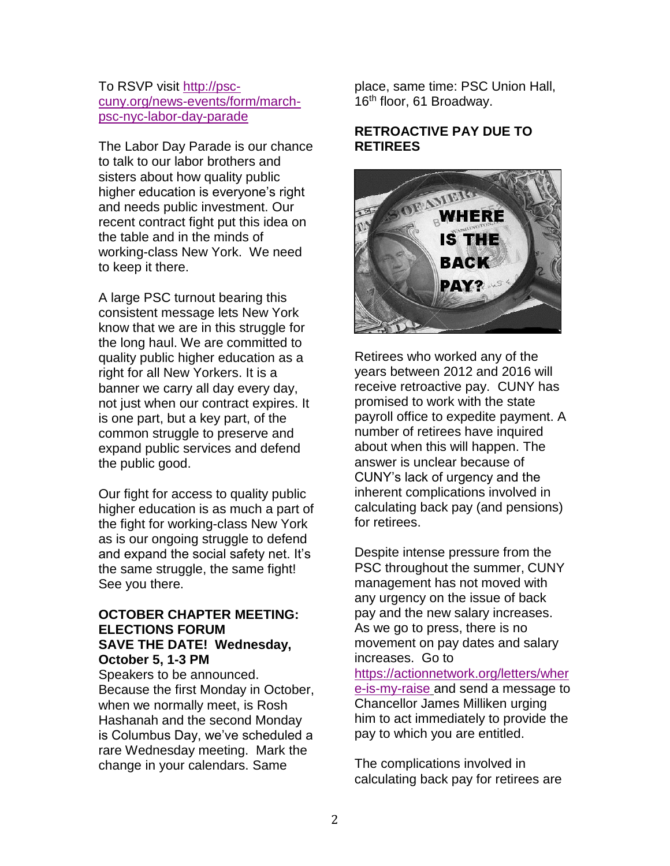#### To RSVP visit [http://psc](http://psc-cuny.org/news-events/form/march-psc-nyc-labor-day-parade)[cuny.org/news-events/form/march](http://psc-cuny.org/news-events/form/march-psc-nyc-labor-day-parade)[psc-nyc-labor-day-parade](http://psc-cuny.org/news-events/form/march-psc-nyc-labor-day-parade)

The Labor Day Parade is our chance to talk to our labor brothers and sisters about how quality public higher education is everyone's right and needs public investment. Our recent contract fight put this idea on the table and in the minds of working-class New York. We need to keep it there.

A large PSC turnout bearing this consistent message lets New York know that we are in this struggle for the long haul. We are committed to quality public higher education as a right for all New Yorkers. It is a banner we carry all day every day, not just when our contract expires. It is one part, but a key part, of the common struggle to preserve and expand public services and defend the public good.

Our fight for access to quality public higher education is as much a part of the fight for working-class New York as is our ongoing struggle to defend and expand the social safety net. It's the same struggle, the same fight! See you there.

#### **OCTOBER CHAPTER MEETING: ELECTIONS FORUM SAVE THE DATE! Wednesday, October 5, 1-3 PM**

Speakers to be announced. Because the first Monday in October, when we normally meet, is Rosh Hashanah and the second Monday is Columbus Day, we've scheduled a rare Wednesday meeting. Mark the change in your calendars. Same

place, same time: PSC Union Hall, 16<sup>th</sup> floor, 61 Broadway.

#### **RETROACTIVE PAY DUE TO RETIREES**



Retirees who worked any of the years between 2012 and 2016 will receive retroactive pay. CUNY has promised to work with the state payroll office to expedite payment. A number of retirees have inquired about when this will happen. The answer is unclear because of CUNY's lack of urgency and the inherent complications involved in calculating back pay (and pensions) for retirees.

Despite intense pressure from the PSC throughout the summer, CUNY management has not moved with any urgency on the issue of back pay and the new salary increases. As we go to press, there is no movement on pay dates and salary increases. Go to

[https://actionnetwork.org/letters/wher](https://actionnetwork.org/letters/where-is-my-raise) [e-is-my-raise](https://actionnetwork.org/letters/where-is-my-raise) and send a message to Chancellor James Milliken urging him to act immediately to provide the pay to which you are entitled.

The complications involved in calculating back pay for retirees are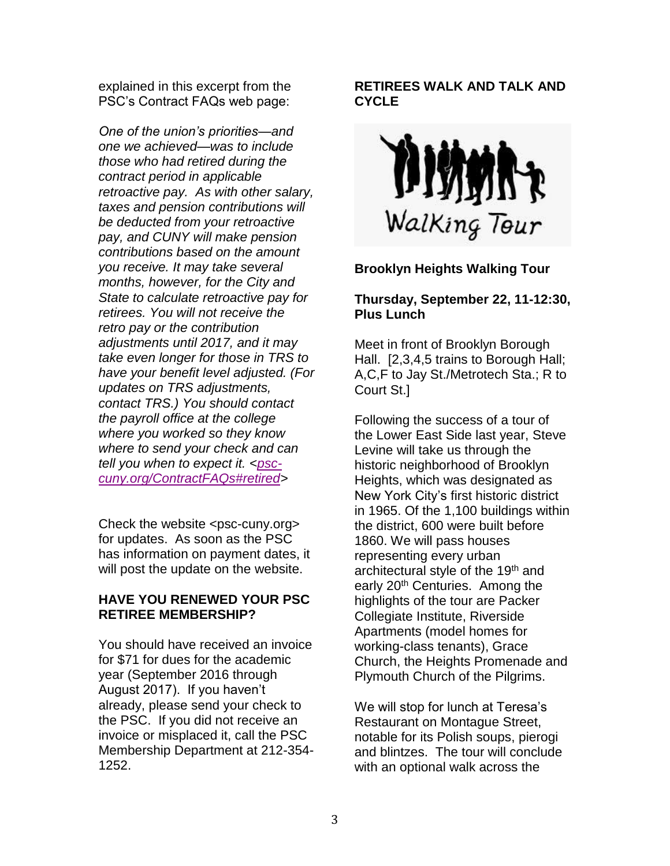explained in this excerpt from the PSC's Contract FAQs web page:

*One of the union's priorities—and one we achieved—was to include those who had retired during the contract period in applicable retroactive pay. As with other salary, taxes and pension contributions will be deducted from your retroactive pay, and CUNY will make pension contributions based on the amount you receive. It may take several months, however, for the City and State to calculate retroactive pay for retirees. You will not receive the retro pay or the contribution adjustments until 2017, and it may take even longer for those in TRS to have your benefit level adjusted. (For updates on TRS adjustments, contact TRS.) You should contact the payroll office at the college where you worked so they know where to send your check and can tell you when to expect it. [<psc](http://psc-cuny.org/ContractFAQs#retired)[cuny.org/ContractFAQs#retired>](http://psc-cuny.org/ContractFAQs#retired)*

Check the website <psc-cuny.org> for updates. As soon as the PSC has information on payment dates, it will post the update on the website.

# **HAVE YOU RENEWED YOUR PSC RETIREE MEMBERSHIP?**

You should have received an invoice for \$71 for dues for the academic year (September 2016 through August 2017). If you haven't already, please send your check to the PSC. If you did not receive an invoice or misplaced it, call the PSC Membership Department at 212-354- 1252.

# **RETIREES WALK AND TALK AND CYCLE**



# **Brooklyn Heights Walking Tour**

# **Thursday, September 22, 11-12:30, Plus Lunch**

Meet in front of Brooklyn Borough Hall. [2,3,4,5 trains to Borough Hall; A,C,F to Jay St./Metrotech Sta.; R to Court St.]

Following the success of a tour of the Lower East Side last year, Steve Levine will take us through the historic neighborhood of Brooklyn Heights, which was designated as New York City's first historic district in 1965. Of the 1,100 buildings within the district, 600 were built before 1860. We will pass houses representing every urban architectural style of the 19<sup>th</sup> and early 20<sup>th</sup> Centuries. Among the highlights of the tour are Packer Collegiate Institute, Riverside Apartments (model homes for working-class tenants), Grace Church, the Heights Promenade and Plymouth Church of the Pilgrims.

We will stop for lunch at Teresa's Restaurant on Montague Street, notable for its Polish soups, pierogi and blintzes. The tour will conclude with an optional walk across the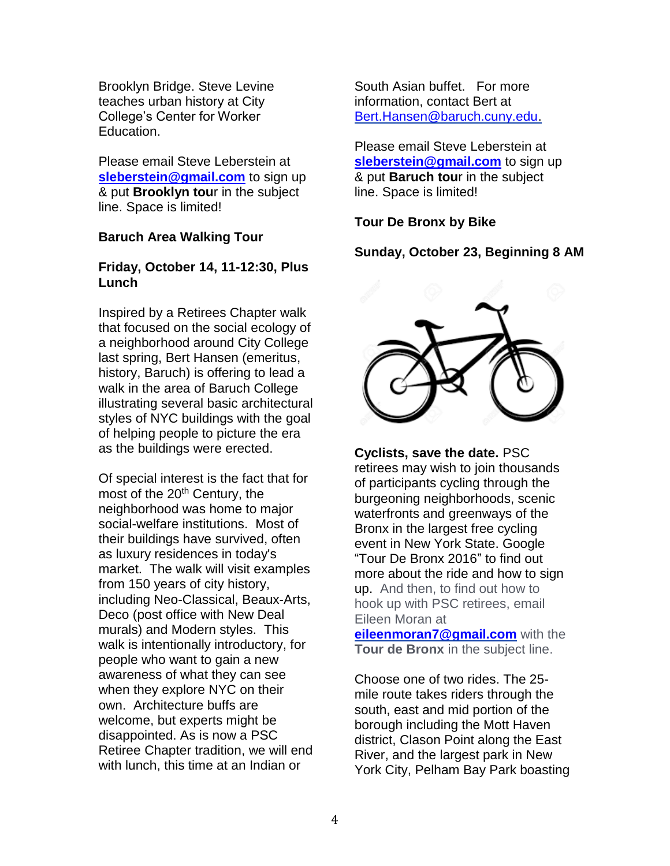Brooklyn Bridge. Steve Levine teaches urban history at City College's Center for Worker Education.

Please email Steve Leberstein at **[sleberstein@gmail.com](mailto:sleberstein@gmail.com)** to sign up & put **Brooklyn tou**r in the subject line. Space is limited!

#### **Baruch Area Walking Tour**

#### **Friday, October 14, 11-12:30, Plus Lunch**

Inspired by a Retirees Chapter walk that focused on the social ecology of a neighborhood around City College last spring, Bert Hansen (emeritus, history, Baruch) is offering to lead a walk in the area of Baruch College illustrating several basic architectural styles of NYC buildings with the goal of helping people to picture the era as the buildings were erected.

Of special interest is the fact that for most of the 20<sup>th</sup> Century, the neighborhood was home to major social-welfare institutions. Most of their buildings have survived, often as luxury residences in today's market. The walk will visit examples from 150 years of city history, including Neo-Classical, Beaux-Arts, Deco (post office with New Deal murals) and Modern styles. This walk is intentionally introductory, for people who want to gain a new awareness of what they can see when they explore NYC on their own. Architecture buffs are welcome, but experts might be disappointed. As is now a PSC Retiree Chapter tradition, we will end with lunch, this time at an Indian or

South Asian buffet. For more information, contact Bert at [Bert.Hansen@baruch.cuny.edu.](mailto:Bert.Hansen@baruch.cuny.edu)

Please email Steve Leberstein at [sleberstein@gmail.com](mailto:sleberstein@gmail.com) to sign up & put **Baruch tou**r in the subject line. Space is limited!

**Tour De Bronx by Bike**

# **Sunday, October 23, Beginning 8 AM**



**Cyclists, save the date.** PSC retirees may wish to join thousands of participants cycling through the burgeoning neighborhoods, scenic waterfronts and greenways of the Bronx in the largest free cycling event in New York State. Google "Tour De Bronx 2016" to find out more about the ride and how to sign up. And then, to find out how to hook up with PSC retirees, email Eileen Moran at

**[eileenmoran7@gmail.com](mailto:eileenmoran7@gmail.com)** with the **Tour de Bronx** in the subject line.

Choose one of two rides. The 25 mile route takes riders through the south, east and mid portion of the borough including the Mott Haven district, Clason Point along the East River, and the largest park in New York City, Pelham Bay Park boasting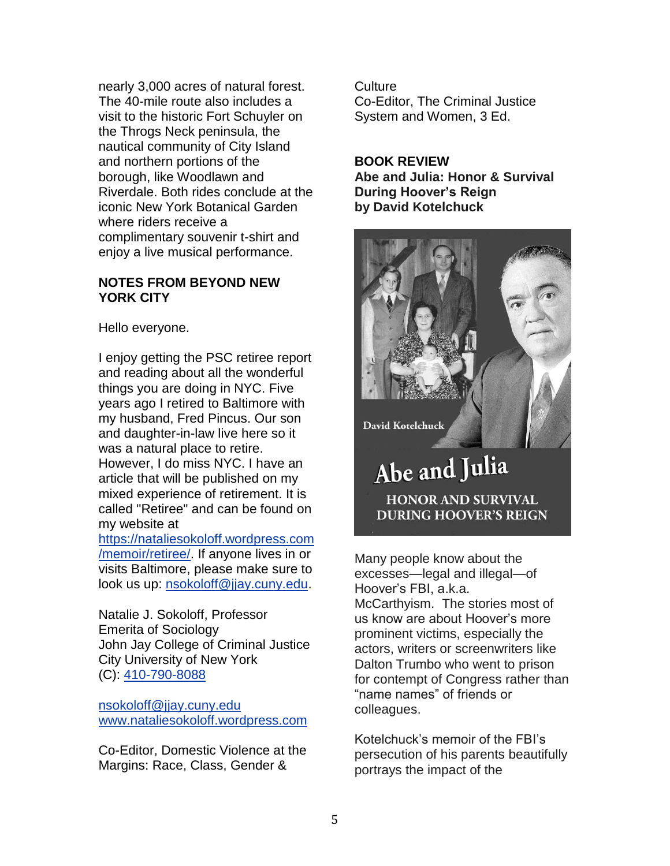nearly 3,000 acres of natural forest. The 40-mile route also includes a visit to the historic Fort Schuyler on the Throgs Neck peninsula, the nautical community of City Island and northern portions of the borough, like Woodlawn and Riverdale. Both rides conclude at the iconic New York Botanical Garden where riders receive a complimentary souvenir t-shirt and enjoy a live musical performance.

#### **NOTES FROM BEYOND NEW YORK CITY**

Hello everyone.

I enjoy getting the PSC retiree report and reading about all the wonderful things you are doing in NYC. Five years ago I retired to Baltimore with my husband, Fred Pincus. Our son and daughter-in-law live here so it was a natural place to retire. However, I do miss NYC. I have an article that will be published on my mixed experience of retirement. It is called "Retiree" and can be found on my website at

https://nataliesokoloff.wordpress.com /memoir/retiree/. If anyone lives in or visits Baltimore, please make sure to look us up: nsokoloff@jjay.cuny.edu.

Natalie J. Sokoloff, Professor Emerita of Sociology John Jay College of Criminal Justice City University of New York (C): 410-790-8088

nsokoloff@jjay.cuny.edu www.nataliesokoloff.wordpress.com

Co-Editor, Domestic Violence at the Margins: Race, Class, Gender &

**Culture** Co-Editor, The Criminal Justice System and Women, 3 Ed.

#### **BOOK REVIEW**

**Abe and Julia: Honor & Survival During Hoover's Reign by David Kotelchuck** 



Many people know about the excesses—legal and illegal—of Hoover's FBI, a.k.a. McCarthyism. The stories most of us know are about Hoover's more prominent victims, especially the actors, writers or screenwriters like Dalton Trumbo who went to prison for contempt of Congress rather than "name names" of friends or colleagues.

Kotelchuck's memoir of the FBI's persecution of his parents beautifully portrays the impact of the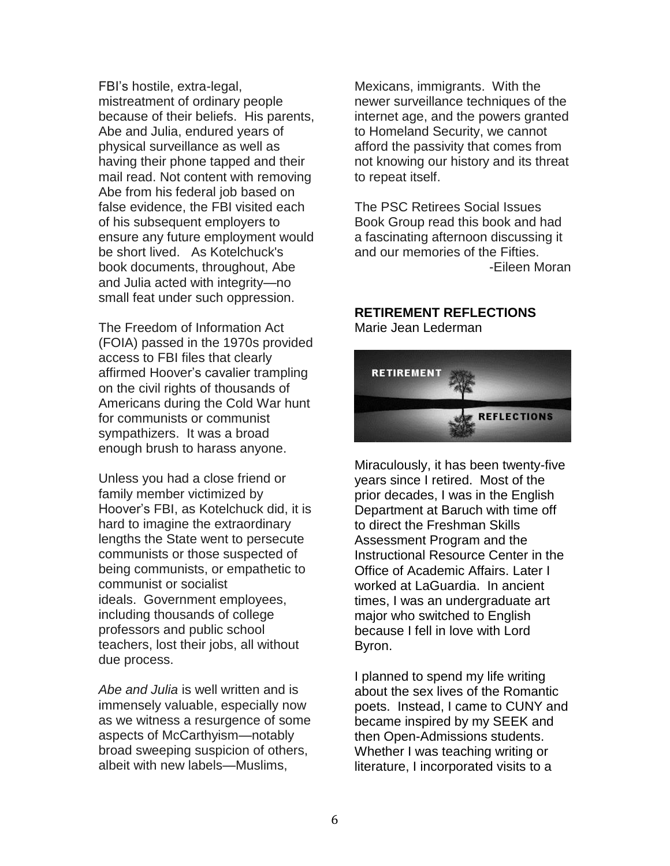FBI's hostile, extra-legal, mistreatment of ordinary people because of their beliefs. His parents, Abe and Julia, endured years of physical surveillance as well as having their phone tapped and their mail read. Not content with removing Abe from his federal job based on false evidence, the FBI visited each of his subsequent employers to ensure any future employment would be short lived. As Kotelchuck's book documents, throughout, Abe and Julia acted with integrity—no small feat under such oppression.

The Freedom of Information Act (FOIA) passed in the 1970s provided access to FBI files that clearly affirmed Hoover's cavalier trampling on the civil rights of thousands of Americans during the Cold War hunt for communists or communist sympathizers. It was a broad enough brush to harass anyone.

Unless you had a close friend or family member victimized by Hoover's FBI, as Kotelchuck did, it is hard to imagine the extraordinary lengths the State went to persecute communists or those suspected of being communists, or empathetic to communist or socialist ideals. Government employees, including thousands of college professors and public school teachers, lost their jobs, all without due process.

*Abe and Julia* is well written and is immensely valuable, especially now as we witness a resurgence of some aspects of McCarthyism—notably broad sweeping suspicion of others, albeit with new labels—Muslims,

Mexicans, immigrants. With the newer surveillance techniques of the internet age, and the powers granted to Homeland Security, we cannot afford the passivity that comes from not knowing our history and its threat to repeat itself.

The PSC Retirees Social Issues Book Group read this book and had a fascinating afternoon discussing it and our memories of the Fifties. -Eileen Moran

# **RETIREMENT REFLECTIONS**

Marie Jean Lederman



Miraculously, it has been twenty-five years since I retired. Most of the prior decades, I was in the English Department at Baruch with time off to direct the Freshman Skills Assessment Program and the Instructional Resource Center in the Office of Academic Affairs. Later I worked at LaGuardia. In ancient times, I was an undergraduate art major who switched to English because I fell in love with Lord Byron.

I planned to spend my life writing about the sex lives of the Romantic poets. Instead, I came to CUNY and became inspired by my SEEK and then Open-Admissions students. Whether I was teaching writing or literature, I incorporated visits to a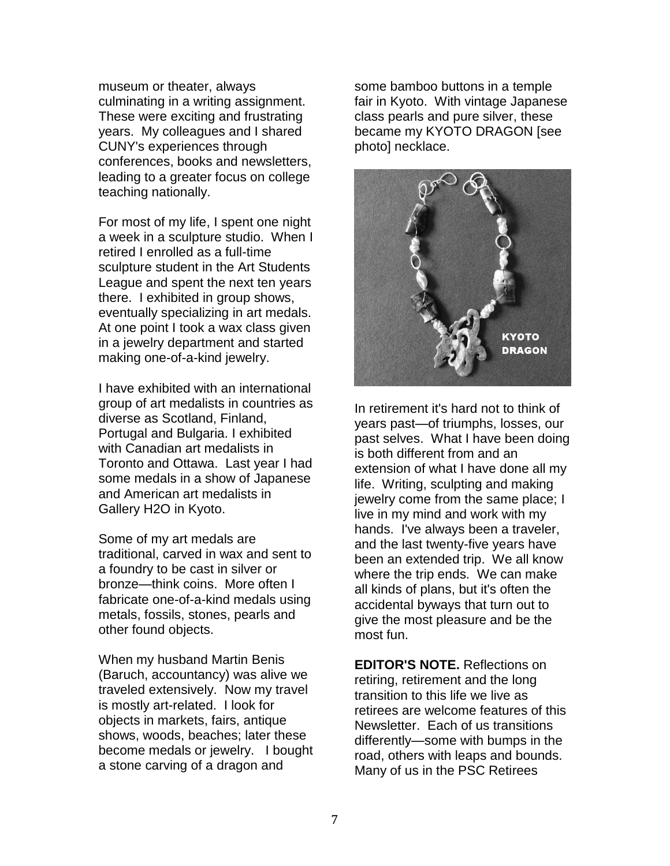museum or theater, always culminating in a writing assignment. These were exciting and frustrating years. My colleagues and I shared CUNY's experiences through conferences, books and newsletters, leading to a greater focus on college teaching nationally.

For most of my life, I spent one night a week in a sculpture studio. When I retired I enrolled as a full-time sculpture student in the Art Students League and spent the next ten years there. I exhibited in group shows, eventually specializing in art medals. At one point I took a wax class given in a jewelry department and started making one-of-a-kind jewelry.

I have exhibited with an international group of art medalists in countries as diverse as Scotland, Finland, Portugal and Bulgaria. I exhibited with Canadian art medalists in Toronto and Ottawa. Last year I had some medals in a show of Japanese and American art medalists in Gallery H2O in Kyoto.

Some of my art medals are traditional, carved in wax and sent to a foundry to be cast in silver or bronze—think coins. More often I fabricate one-of-a-kind medals using metals, fossils, stones, pearls and other found objects.

When my husband Martin Benis (Baruch, accountancy) was alive we traveled extensively. Now my travel is mostly art-related. I look for objects in markets, fairs, antique shows, woods, beaches; later these become medals or jewelry. I bought a stone carving of a dragon and

some bamboo buttons in a temple fair in Kyoto. With vintage Japanese class pearls and pure silver, these became my KYOTO DRAGON [see photo] necklace.



In retirement it's hard not to think of years past—of triumphs, losses, our past selves. What I have been doing is both different from and an extension of what I have done all my life. Writing, sculpting and making jewelry come from the same place; I live in my mind and work with my hands. I've always been a traveler, and the last twenty-five years have been an extended trip. We all know where the trip ends. We can make all kinds of plans, but it's often the accidental byways that turn out to give the most pleasure and be the most fun.

**EDITOR'S NOTE.** Reflections on retiring, retirement and the long transition to this life we live as retirees are welcome features of this Newsletter. Each of us transitions differently—some with bumps in the road, others with leaps and bounds. Many of us in the PSC Retirees